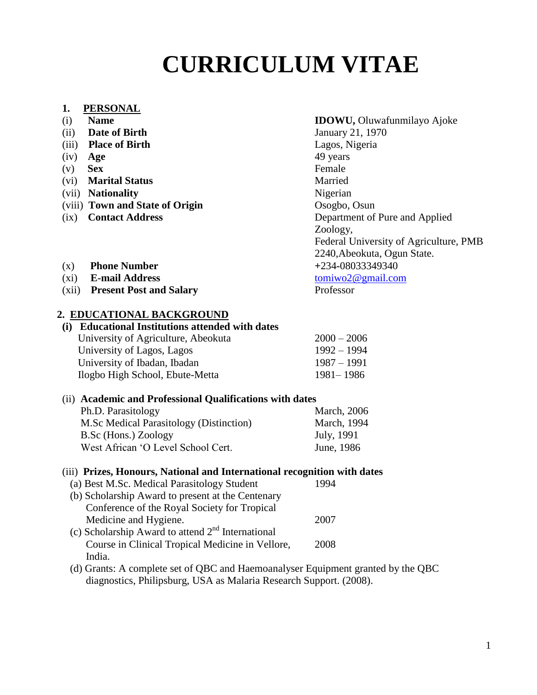# **CURRICULUM VITAE**

#### **1. PERSONAL**

- 
- (ii) **Date of Birth** January 21, 1970
- (iii) **Place of Birth** Lagos, Nigeria
- (iv) **Age** 49 years
- (v) **Sex** Female
- (vi) **Marital Status** Married
- (vii) **Nationality** Nigerian
- (viii) **Town and State of Origin** Osogbo, Osun
- 

#### (i) **Name IDOWU,** Oluwafunmilayo Ajoke

(ix) **Contact Address** Department of Pure and Applied Zoology, Federal University of Agriculture, PMB 2240,Abeokuta, Ogun State.

- (x) **Phone Number +**234**-**08033349340
- (xi) **E-mail Address** [tomiwo2@gmail.com](mailto:tomiwo2@gmail.com)
- (xii) **Present Post and Salary** Professor

# **2. EDUCATIONAL BACKGROUND**

#### **(i) Educational Institutions attended with dates**

| University of Agriculture, Abeokuta | $2000 - 2006$ |
|-------------------------------------|---------------|
| University of Lagos, Lagos          | $1992 - 1994$ |
| University of Ibadan, Ibadan        | $1987 - 1991$ |
| Ilogbo High School, Ebute-Metta     | 1981–1986     |
|                                     |               |

#### (ii) **Academic and Professional Qualifications with dates**  $Dh \cap$  Parasitology

| <b>FILL, Falashology</b>                | <b>NICOLI, 2000</b> |
|-----------------------------------------|---------------------|
| M.Sc Medical Parasitology (Distinction) | March, 1994         |
| B.Sc (Hons.) Zoology                    | July, 1991          |
| West African 'O Level School Cert.      | June, 1986          |

#### (iii) **Prizes, Honours, National and International recognition with dates**

| (a) Best M.Sc. Medical Parasitology Student         |      |
|-----------------------------------------------------|------|
| (b) Scholarship Award to present at the Centenary   |      |
| Conference of the Royal Society for Tropical        |      |
| Medicine and Hygiene.                               | 2007 |
| (c) Scholarship Award to attend $2nd$ International |      |
| Course in Clinical Tropical Medicine in Vellore,    | 2008 |
| India.                                              |      |
|                                                     |      |

 (d) Grants: A complete set of QBC and Haemoanalyser Equipment granted by the QBC diagnostics, Philipsburg, USA as Malaria Research Support. (2008).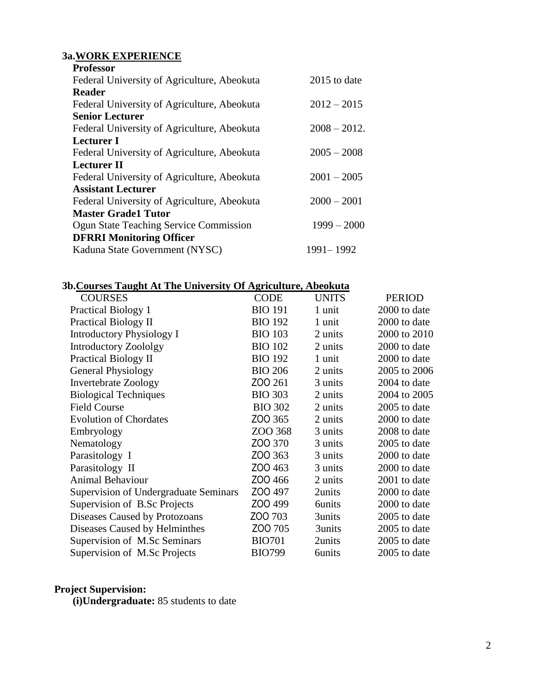# **3a.WORK EXPERIENCE**

| <b>Professor</b>                |                                               |                |
|---------------------------------|-----------------------------------------------|----------------|
|                                 | Federal University of Agriculture, Abeokuta   | $2015$ to date |
| <b>Reader</b>                   |                                               |                |
|                                 | Federal University of Agriculture, Abeokuta   | $2012 - 2015$  |
| <b>Senior Lecturer</b>          |                                               |                |
|                                 | Federal University of Agriculture, Abeokuta   | $2008 - 2012.$ |
| Lecturer I                      |                                               |                |
|                                 | Federal University of Agriculture, Abeokuta   | $2005 - 2008$  |
| <b>Lecturer II</b>              |                                               |                |
|                                 | Federal University of Agriculture, Abeokuta   | $2001 - 2005$  |
| <b>Assistant Lecturer</b>       |                                               |                |
|                                 | Federal University of Agriculture, Abeokuta   | $2000 - 2001$  |
| <b>Master Grade1 Tutor</b>      |                                               |                |
|                                 | <b>Ogun State Teaching Service Commission</b> | $1999 - 2000$  |
| <b>DFRRI Monitoring Officer</b> |                                               |                |
|                                 | Kaduna State Government (NYSC)                | 1991 – 1992    |

# **3b.Courses Taught At The University Of Agriculture, Abeokuta**

| <b>COURSES</b>                               | <b>CODE</b>    | <b>UNITS</b>  | <b>PERIOD</b> |
|----------------------------------------------|----------------|---------------|---------------|
| <b>Practical Biology 1</b>                   | <b>BIO 191</b> | 1 unit        | 2000 to date  |
| <b>Practical Biology II</b>                  | <b>BIO 192</b> | 1 unit        | 2000 to date  |
| <b>Introductory Physiology I</b>             | <b>BIO 103</b> | 2 units       | 2000 to 2010  |
| <b>Introductory Zoololgy</b>                 | <b>BIO 102</b> | 2 units       | 2000 to date  |
| <b>Practical Biology II</b>                  | <b>BIO 192</b> | 1 unit        | 2000 to date  |
| <b>General Physiology</b>                    | <b>BIO 206</b> | 2 units       | 2005 to 2006  |
| <b>Invertebrate Zoology</b>                  | ZOO 261        | 3 units       | 2004 to date  |
| <b>Biological Techniques</b>                 | <b>BIO 303</b> | 2 units       | 2004 to 2005  |
| <b>Field Course</b>                          | <b>BIO 302</b> | 2 units       | 2005 to date  |
| <b>Evolution of Chordates</b>                | ZOO 365        | 2 units       | 2000 to date  |
| Embryology                                   | ZOO 368        | 3 units       | 2008 to date  |
| Nematology                                   | ZOO 370        | 3 units       | 2005 to date  |
| Parasitology I                               | ZOO 363        | 3 units       | 2000 to date  |
| Parasitology II                              | ZOO 463        | 3 units       | 2000 to date  |
| <b>Animal Behaviour</b>                      | ZOO 466        | 2 units       | 2001 to date  |
| <b>Supervision of Undergraduate Seminars</b> | ZOO 497        | 2units        | 2000 to date  |
| Supervision of B.Sc Projects                 | ZOO 499        | <b>6units</b> | 2000 to date  |
| Diseases Caused by Protozoans                | ZOO 703        | 3units        | 2005 to date  |
| Diseases Caused by Helminthes                | ZOO 705        | 3units        | 2005 to date  |
| Supervision of M.Sc Seminars                 | <b>BIO701</b>  | 2units        | 2005 to date  |
| Supervision of M.Sc Projects                 | <b>BIO799</b>  | <b>6units</b> | 2005 to date  |
|                                              |                |               |               |

#### **Project Supervision:**

**(i)Undergraduate:** 85 students to date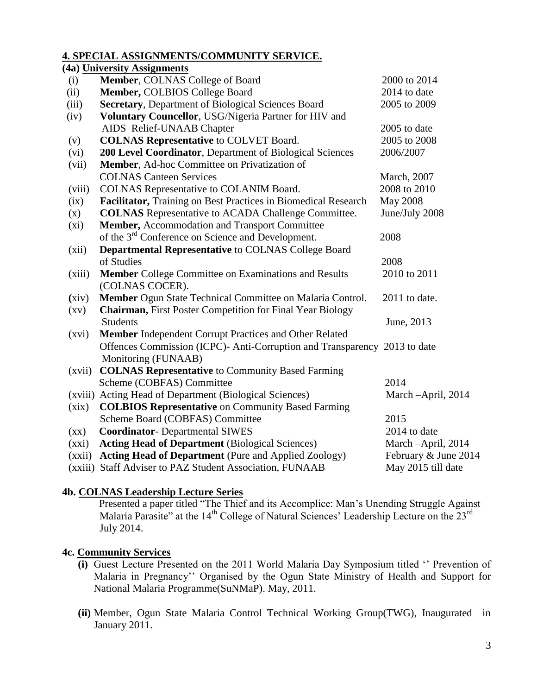#### **4. SPECIAL ASSIGNMENTS/COMMUNITY SERVICE.**

|                    | (4a) University Assignments                                               |                      |
|--------------------|---------------------------------------------------------------------------|----------------------|
| (i)                | Member, COLNAS College of Board                                           | 2000 to 2014         |
| (ii)               | Member, COLBIOS College Board                                             | 2014 to date         |
| (iii)              | Secretary, Department of Biological Sciences Board                        | 2005 to 2009         |
| (iv)               | Voluntary Councellor, USG/Nigeria Partner for HIV and                     |                      |
|                    | AIDS Relief-UNAAB Chapter                                                 | 2005 to date         |
| (v)                | <b>COLNAS Representative to COLVET Board.</b>                             | 2005 to 2008         |
| (vi)               | 200 Level Coordinator, Department of Biological Sciences                  | 2006/2007            |
| (vii)              | Member, Ad-hoc Committee on Privatization of                              |                      |
|                    | <b>COLNAS Canteen Services</b>                                            | March, 2007          |
| (viii)             | COLNAS Representative to COLANIM Board.                                   | 2008 to 2010         |
| (ix)               | Facilitator, Training on Best Practices in Biomedical Research            | <b>May 2008</b>      |
| (x)                | <b>COLNAS</b> Representative to ACADA Challenge Committee.                | June/July 2008       |
| $(x_i)$            | Member, Accommodation and Transport Committee                             |                      |
|                    | of the 3 <sup>rd</sup> Conference on Science and Development.             | 2008                 |
| (xii)              | <b>Departmental Representative to COLNAS College Board</b>                |                      |
|                    | of Studies                                                                | 2008                 |
| (xiii)             | <b>Member</b> College Committee on Examinations and Results               | 2010 to 2011         |
|                    | (COLNAS COCER).                                                           |                      |
| (xiv)              | Member Ogun State Technical Committee on Malaria Control.                 | 2011 to date.        |
| $\left( xy\right)$ | <b>Chairman, First Poster Competition for Final Year Biology</b>          |                      |
|                    | <b>Students</b>                                                           | June, 2013           |
| (xvi)              | Member Independent Corrupt Practices and Other Related                    |                      |
|                    | Offences Commission (ICPC)- Anti-Corruption and Transparency 2013 to date |                      |
|                    | Monitoring (FUNAAB)                                                       |                      |
| (xvii)             | <b>COLNAS Representative to Community Based Farming</b>                   |                      |
|                    | Scheme (COBFAS) Committee                                                 | 2014                 |
|                    | (xviii) Acting Head of Department (Biological Sciences)                   | March -April, 2014   |
| (xix)              | <b>COLBIOS Representative on Community Based Farming</b>                  |                      |
|                    | Scheme Board (COBFAS) Committee                                           | 2015                 |
| $\left( xx\right)$ | <b>Coordinator-</b> Departmental SIWES                                    | 2014 to date         |
| (xxi)              | <b>Acting Head of Department</b> (Biological Sciences)                    | March -April, 2014   |
| (xxii)             | <b>Acting Head of Department</b> (Pure and Applied Zoology)               | February & June 2014 |
|                    | (xxiii) Staff Adviser to PAZ Student Association, FUNAAB                  | May 2015 till date   |

# **4b. COLNAS Leadership Lecture Series**

Presented a paper titled "The Thief and its Accomplice: Man"s Unending Struggle Against Malaria Parasite" at the 14<sup>th</sup> College of Natural Sciences' Leadership Lecture on the 23<sup>rd</sup> July 2014.

# **4c. Community Services**

- **(i)** Guest Lecture Presented on the 2011 World Malaria Day Symposium titled "" Prevention of Malaria in Pregnancy"" Organised by the Ogun State Ministry of Health and Support for National Malaria Programme(SuNMaP). May, 2011.
- **(ii)** Member, Ogun State Malaria Control Technical Working Group(TWG), Inaugurated in January 2011.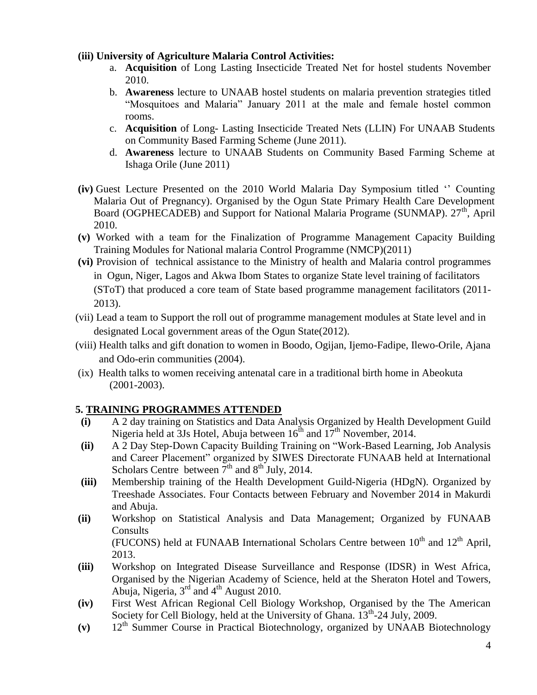# **(iii) University of Agriculture Malaria Control Activities:**

- a. **Acquisition** of Long Lasting Insecticide Treated Net for hostel students November 2010.
- b. **Awareness** lecture to UNAAB hostel students on malaria prevention strategies titled "Mosquitoes and Malaria" January 2011 at the male and female hostel common rooms.
- c. **Acquisition** of Long- Lasting Insecticide Treated Nets (LLIN) For UNAAB Students on Community Based Farming Scheme (June 2011).
- d. **Awareness** lecture to UNAAB Students on Community Based Farming Scheme at Ishaga Orile (June 2011)
- **(iv)** Guest Lecture Presented on the 2010 World Malaria Day Symposium titled "" Counting Malaria Out of Pregnancy). Organised by the Ogun State Primary Health Care Development Board (OGPHECADEB) and Support for National Malaria Programe (SUNMAP). 27<sup>th</sup>, April 2010.
- **(v)** Worked with a team for the Finalization of Programme Management Capacity Building Training Modules for National malaria Control Programme (NMCP)(2011)
- **(vi)** Provision of technical assistance to the Ministry of health and Malaria control programmes in Ogun, Niger, Lagos and Akwa Ibom States to organize State level training of facilitators (SToT) that produced a core team of State based programme management facilitators (2011- 2013).
- (vii) Lead a team to Support the roll out of programme management modules at State level and in designated Local government areas of the Ogun State(2012).
- (viii) Health talks and gift donation to women in Boodo, Ogijan, Ijemo-Fadipe, Ilewo-Orile, Ajana and Odo-erin communities (2004).
- (ix) Health talks to women receiving antenatal care in a traditional birth home in Abeokuta (2001-2003).

# **5. TRAINING PROGRAMMES ATTENDED**

- **(i)** A 2 day training on Statistics and Data Analysis Organized by Health Development Guild Nigeria held at 3Js Hotel, Abuja between  $16^{th}$  and  $17^{th}$  November, 2014.
- **(ii)** A 2 Day Step-Down Capacity Building Training on "Work-Based Learning, Job Analysis and Career Placement" organized by SIWES Directorate FUNAAB held at International Scholars Centre between  $\overline{7}^{\text{th}}$  and  $8^{\text{th}}$  July, 2014.
- **(iii)** Membership training of the Health Development Guild-Nigeria (HDgN). Organized by Treeshade Associates. Four Contacts between February and November 2014 in Makurdi and Abuja.
- **(ii)** Workshop on Statistical Analysis and Data Management; Organized by FUNAAB **Consults** (FUCONS) held at FUNAAB International Scholars Centre between  $10<sup>th</sup>$  and  $12<sup>th</sup>$  April, 2013.
- **(iii)** Workshop on Integrated Disease Surveillance and Response (IDSR) in West Africa, Organised by the Nigerian Academy of Science, held at the Sheraton Hotel and Towers, Abuja, Nigeria,  $3<sup>rd</sup>$  and  $4<sup>th</sup>$  August 2010.
- **(iv)** First West African Regional Cell Biology Workshop, Organised by the The American Society for Cell Biology, held at the University of Ghana. 13<sup>th</sup>-24 July, 2009.
- **(v)** 12th Summer Course in Practical Biotechnology, organized by UNAAB Biotechnology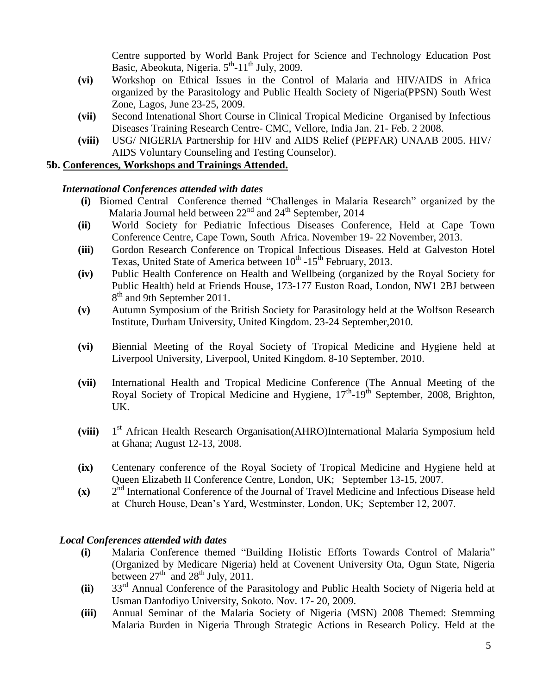Centre supported by World Bank Project for Science and Technology Education Post Basic, Abeokuta, Nigeria.  $5<sup>th</sup>$ -11<sup>th</sup> July, 2009.

- **(vi)** Workshop on Ethical Issues in the Control of Malaria and HIV/AIDS in Africa organized by the Parasitology and Public Health Society of Nigeria(PPSN) South West Zone, Lagos, June 23-25, 2009.
- **(vii)** Second Intenational Short Course in Clinical Tropical Medicine Organised by Infectious Diseases Training Research Centre- CMC, Vellore, India Jan. 21- Feb. 2 2008.
- **(viii)** USG/ NIGERIA Partnership for HIV and AIDS Relief (PEPFAR) UNAAB 2005. HIV/ AIDS Voluntary Counseling and Testing Counselor).

#### **5b. Conferences, Workshops and Trainings Attended.**

#### *International Conferences attended with dates*

- **(i)** Biomed Central Conference themed "Challenges in Malaria Research" organized by the Malaria Journal held between  $22<sup>nd</sup>$  and  $24<sup>th</sup>$  September, 2014
- **(ii)** World Society for Pediatric Infectious Diseases Conference, Held at Cape Town Conference Centre, Cape Town, South Africa. November 19- 22 November, 2013.
- **(iii)** Gordon Research Conference on Tropical Infectious Diseases. Held at Galveston Hotel Texas, United State of America between 10<sup>th</sup> -15<sup>th</sup> February, 2013.
- **(iv)** Public Health Conference on Health and Wellbeing (organized by the Royal Society for Public Health) held at Friends House, 173-177 Euston Road, London, NW1 2BJ between 8<sup>th</sup> and 9th September 2011.
- **(v)** Autumn Symposium of the British Society for Parasitology held at the Wolfson Research Institute, Durham University, United Kingdom. 23-24 September,2010.
- **(vi)** Biennial Meeting of the Royal Society of Tropical Medicine and Hygiene held at Liverpool University, Liverpool, United Kingdom. 8-10 September, 2010.
- **(vii)** International Health and Tropical Medicine Conference (The Annual Meeting of the Royal Society of Tropical Medicine and Hygiene,  $17<sup>th</sup>$ -19<sup>th</sup> September, 2008, Brighton, UK.
- **(viii)** 1  $1<sup>st</sup>$  African Health Research Organisation(AHRO)International Malaria Symposium held at Ghana; August 12-13, 2008.
- **(ix)** Centenary conference of the Royal Society of Tropical Medicine and Hygiene held at Queen Elizabeth II Conference Centre, London, UK; September 13-15, 2007.
- $(x)$  $2<sup>nd</sup>$  International Conference of the Journal of Travel Medicine and Infectious Disease held at Church House, Dean"s Yard, Westminster, London, UK; September 12, 2007.

#### *Local Conferences attended with dates*

- **(i)** Malaria Conference themed "Building Holistic Efforts Towards Control of Malaria" (Organized by Medicare Nigeria) held at Covenent University Ota, Ogun State, Nigeria between  $27<sup>th</sup>$  and  $28<sup>th</sup>$  July,  $2011$ .
- **(ii)** 33 33<sup>rd</sup> Annual Conference of the Parasitology and Public Health Society of Nigeria held at Usman Danfodiyo University, Sokoto. Nov. 17- 20, 2009.
- **(iii)** Annual Seminar of the Malaria Society of Nigeria (MSN) 2008 Themed: Stemming Malaria Burden in Nigeria Through Strategic Actions in Research Policy. Held at the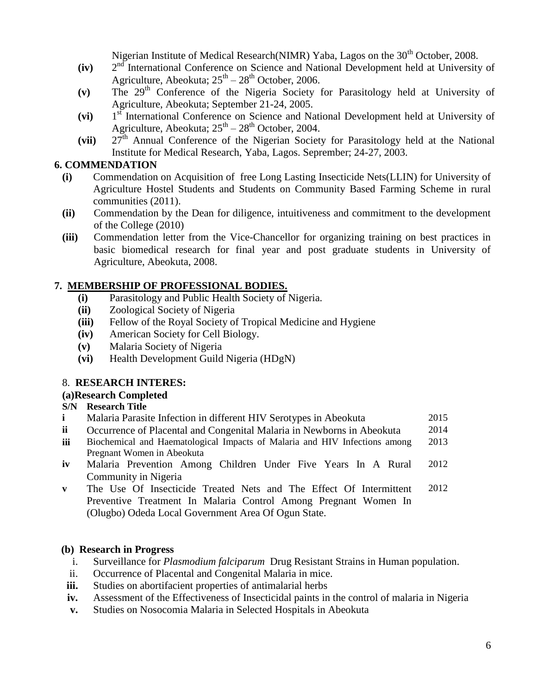Nigerian Institute of Medical Research(NIMR) Yaba, Lagos on the 30<sup>th</sup> October, 2008.

- **(iv)** 2  $2<sup>nd</sup>$  International Conference on Science and National Development held at University of Agriculture, Abeokuta;  $25<sup>th</sup> - 28<sup>th</sup>$  October, 2006.
- **(v)** The 29th Conference of the Nigeria Society for Parasitology held at University of Agriculture, Abeokuta; September 21-24, 2005.
- **(vi)** 1 1<sup>st</sup> International Conference on Science and National Development held at University of Agriculture, Abeokuta;  $25<sup>th</sup> - 28<sup>th</sup>$  October, 2004.
- (vii) 27<sup>th</sup> Annual Conference of the Nigerian Society for Parasitology held at the National Institute for Medical Research, Yaba, Lagos. Seprember; 24-27, 2003.

# **6. COMMENDATION**

- **(i)** Commendation on Acquisition of free Long Lasting Insecticide Nets(LLIN) for University of Agriculture Hostel Students and Students on Community Based Farming Scheme in rural communities (2011).
- **(ii)** Commendation by the Dean for diligence, intuitiveness and commitment to the development of the College (2010)
- **(iii)** Commendation letter from the Vice-Chancellor for organizing training on best practices in basic biomedical research for final year and post graduate students in University of Agriculture, Abeokuta, 2008.

# **7. MEMBERSHIP OF PROFESSIONAL BODIES.**

- **(i)** Parasitology and Public Health Society of Nigeria.
- **(ii)** Zoological Society of Nigeria
- **(iii)** Fellow of the Royal Society of Tropical Medicine and Hygiene
- **(iv)** American Society for Cell Biology.
- **(v)** Malaria Society of Nigeria
- **(vi)** Health Development Guild Nigeria (HDgN)

# 8. **RESEARCH INTERES:**

# **(a)Research Completed**

# **S/N Research Title**

- **i** Malaria Parasite Infection in different HIV Serotypes in Abeokuta 2015
- **ii** Occurrence of Placental and Congenital Malaria in Newborns in Abeokuta 2014
- **iii** Biochemical and Haematological Impacts of Malaria and HIV Infections among Pregnant Women in Abeokuta 2013
- **iv** Malaria Prevention Among Children Under Five Years In A Rural Community in Nigeria 2012
- **v** The Use Of Insecticide Treated Nets and The Effect Of Intermittent Preventive Treatment In Malaria Control Among Pregnant Women In (Olugbo) Odeda Local Government Area Of Ogun State. 2012

# **(b) Research in Progress**

- i. Surveillance for *Plasmodium falciparum* Drug Resistant Strains in Human population.
- ii. Occurrence of Placental and Congenital Malaria in mice.
- **iii.** Studies on abortifacient properties of antimalarial herbs
- **iv.** Assessment of the Effectiveness of Insecticidal paints in the control of malaria in Nigeria
- **v.** Studies on Nosocomia Malaria in Selected Hospitals in Abeokuta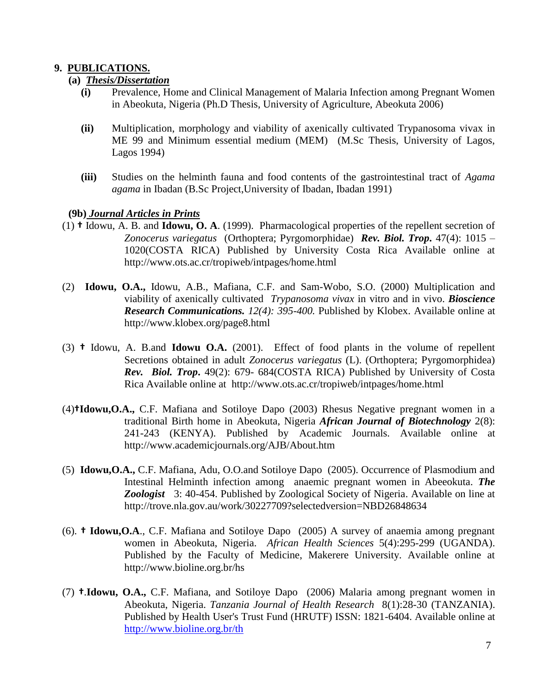# **9. PUBLICATIONS.**

#### **(a)** *Thesis/Dissertation*

- **(i)** Prevalence, Home and Clinical Management of Malaria Infection among Pregnant Women in Abeokuta, Nigeria (Ph.D Thesis, University of Agriculture, Abeokuta 2006)
- **(ii)** Multiplication, morphology and viability of axenically cultivated Trypanosoma vivax in ME 99 and Minimum essential medium (MEM) (M.Sc Thesis, University of Lagos, Lagos 1994)
- **(iii)** Studies on the helminth fauna and food contents of the gastrointestinal tract of *Agama agama* in Ibadan (B.Sc Project,University of Ibadan, Ibadan 1991)

#### **(9b)** *Journal Articles in Prints*

- (1) **†** Idowu, A. B. and **Idowu, O. A**. (1999). Pharmacological properties of the repellent secretion of *Zonocerus variegatus* (Orthoptera; Pyrgomorphidae) *Rev. Biol. Trop***.** 47(4): 1015 – 1020(COSTA RICA) Published by University Costa Rica Available online at http://www.ots.ac.cr/tropiweb/intpages/home.html
- (2) **Idowu, O.A.,** Idowu, A.B., Mafiana, C.F. and Sam-Wobo, S.O. (2000) Multiplication and viability of axenically cultivated *Trypanosoma vivax* in vitro and in vivo. *Bioscience Research Communications. 12(4): 395-400.* Published by Klobex. Available online at http://www.klobex.org/page8.html
- (3) **†** Idowu, A. B.and **Idowu O.A.** (2001). Effect of food plants in the volume of repellent Secretions obtained in adult *Zonocerus variegatus* (L). (Orthoptera; Pyrgomorphidea) *Rev. Biol. Trop***.** 49(2): 679- 684(COSTA RICA) Published by University of Costa Rica Available online at http://www.ots.ac.cr/tropiweb/intpages/home.html
- (4)**†Idowu,O.A.,** C.F. Mafiana and Sotiloye Dapo (2003) Rhesus Negative pregnant women in a traditional Birth home in Abeokuta, Nigeria *African Journal of Biotechnology* 2(8): 241-243 (KENYA). Published by Academic Journals. Available online at http://www.academicjournals.org/AJB/About.htm
- (5) **Idowu,O.A.,** C.F. Mafiana, Adu, O.O.and Sotiloye Dapo (2005). Occurrence of Plasmodium and Intestinal Helminth infection among anaemic pregnant women in Abeeokuta. *The Zoologist* 3: 40-454. Published by Zoological Society of Nigeria. Available on line at http://trove.nla.gov.au/work/30227709?selectedversion=NBD26848634
- (6). **† Idowu,O.A**., C.F. Mafiana and Sotiloye Dapo (2005) A survey of anaemia among pregnant women in Abeokuta, Nigeria. *African Health Sciences* 5(4):295-299 (UGANDA). Published by the Faculty of Medicine, Makerere University. Available online at http://www.bioline.org.br/hs
- (7) **†**.**Idowu, O.A.,** C.F. Mafiana, and Sotiloye Dapo (2006) Malaria among pregnant women in Abeokuta, Nigeria. *Tanzania Journal of Health Research* 8(1):28-30 (TANZANIA). Published by Health User's Trust Fund (HRUTF) ISSN: 1821-6404. Available online at <http://www.bioline.org.br/th>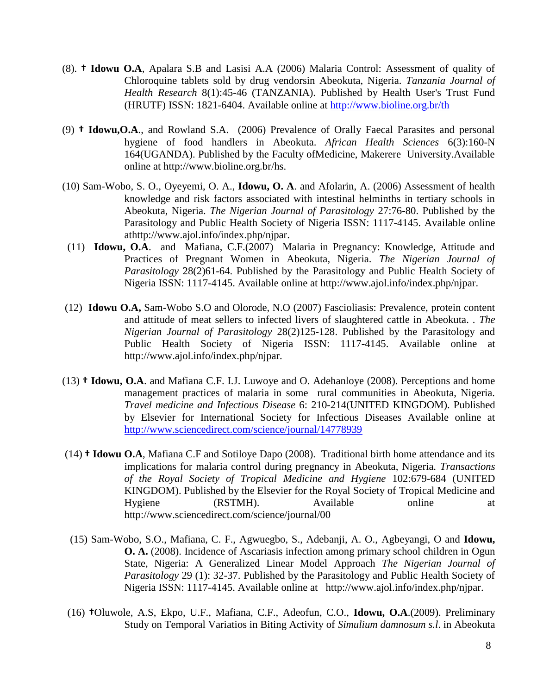- (8). **† Idowu O.A**, Apalara S.B and Lasisi A.A (2006) Malaria Control: Assessment of quality of Chloroquine tablets sold by drug vendorsin Abeokuta, Nigeria. *Tanzania Journal of Health Research* 8(1):45-46 (TANZANIA). Published by Health User's Trust Fund (HRUTF) ISSN: 1821-6404. Available online at<http://www.bioline.org.br/th>
- (9) **† Idowu,O.A**., and Rowland S.A. (2006) Prevalence of Orally Faecal Parasites and personal hygiene of food handlers in Abeokuta. *African Health Sciences* 6(3):160-N 164(UGANDA). Published by the Faculty ofMedicine, Makerere University.Available online at http://www.bioline.org.br/hs.
- (10) Sam-Wobo, S. O., Oyeyemi, O. A., **Idowu, O. A**. and Afolarin, A. (2006) Assessment of health knowledge and risk factors associated with intestinal helminths in tertiary schools in Abeokuta, Nigeria. *The Nigerian Journal of Parasitology* 27:76-80. Published by the Parasitology and Public Health Society of Nigeria ISSN: 1117-4145. Available online athttp://www.ajol.info/index.php/njpar.
- (11) **Idowu, O.A**. and Mafiana, C.F.(2007) Malaria in Pregnancy: Knowledge, Attitude and Practices of Pregnant Women in Abeokuta, Nigeria. *The Nigerian Journal of Parasitology* 28(2)61-64. Published by the Parasitology and Public Health Society of Nigeria ISSN: 1117-4145. Available online at http://www.ajol.info/index.php/njpar.
- (12) **Idowu O.A,** Sam-Wobo S.O and Olorode, N.O (2007) Fascioliasis: Prevalence, protein content and attitude of meat sellers to infected livers of slaughtered cattle in Abeokuta. . *The Nigerian Journal of Parasitology* 28(2)125-128. Published by the Parasitology and Public Health Society of Nigeria ISSN: 1117-4145. Available online at http://www.ajol.info/index.php/njpar.
- (13) **† Idowu, O.A**. and Mafiana C.F. I.J. Luwoye and O. Adehanloye (2008). Perceptions and home management practices of malaria in some rural communities in Abeokuta, Nigeria. *Travel medicine and Infectious Disease* 6: 210-214(UNITED KINGDOM). Published by Elsevier for International Society for Infectious Diseases Available online at <http://www.sciencedirect.com/science/journal/14778939>
- (14) **† Idowu O.A**, Mafiana C.F and Sotiloye Dapo (2008). Traditional birth home attendance and its implications for malaria control during pregnancy in Abeokuta, Nigeria. *Transactions of the Royal Society of Tropical Medicine and Hygiene* 102:679-684 (UNITED KINGDOM). Published by the Elsevier for the Royal Society of Tropical Medicine and Hygiene (RSTMH). Available online at http://www.sciencedirect.com/science/journal/00
- (15) Sam-Wobo, S.O., Mafiana, C. F., Agwuegbo, S., Adebanji, A. O., Agbeyangi, O and **Idowu, O. A.** (2008). Incidence of Ascariasis infection among primary school children in Ogun State, Nigeria: A Generalized Linear Model Approach *The Nigerian Journal of Parasitology* 29 (1): 32-37. Published by the Parasitology and Public Health Society of Nigeria ISSN: 1117-4145. Available online at http://www.ajol.info/index.php/njpar.
- (16) **†**Oluwole, A.S, Ekpo, U.F., Mafiana, C.F., Adeofun, C.O., **Idowu, O.A**.(2009). Preliminary Study on Temporal Variatios in Biting Activity of *Simulium damnosum s.l*. in Abeokuta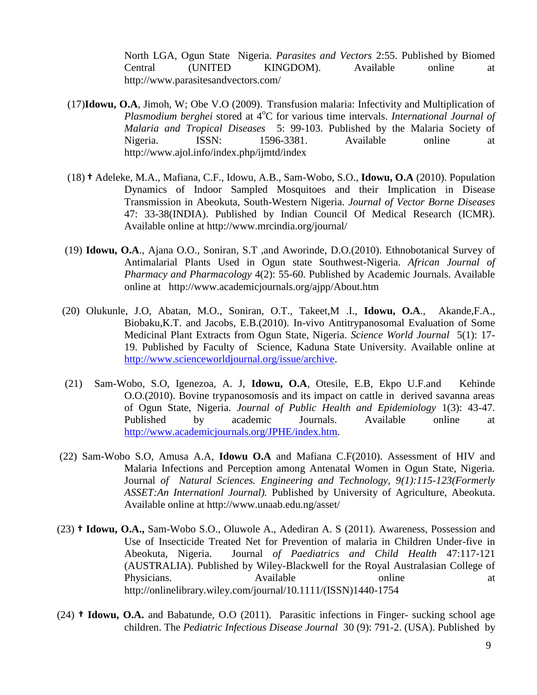North LGA, Ogun State Nigeria. *Parasites and Vectors* 2:55. Published by Biomed Central (UNITED KINGDOM). Available online at http://www.parasitesandvectors.com/

- (17)**Idowu, O.A**, Jimoh, W; Obe V.O (2009). Transfusion malaria: Infectivity and Multiplication of *Plasmodium berghei* stored at 4<sup>o</sup>C for various time intervals. *International Journal of Malaria and Tropical Diseases* 5: 99-103. Published by the Malaria Society of Nigeria. ISSN: 1596-3381. Available online at http://www.ajol.info/index.php/ijmtd/index
- (18) **†** Adeleke, M.A., Mafiana, C.F., Idowu, A.B., Sam-Wobo, S.O., **Idowu, O.A** (2010). Population Dynamics of Indoor Sampled Mosquitoes and their Implication in Disease Transmission in Abeokuta, South-Western Nigeria. *Journal of Vector Borne Diseases* 47: 33-38(INDIA). Published by Indian Council Of Medical Research (ICMR). Available online at http://www.mrcindia.org/journal/
- (19) **Idowu, O.A**., Ajana O.O., Soniran, S.T ,and Aworinde, D.O.(2010). Ethnobotanical Survey of Antimalarial Plants Used in Ogun state Southwest-Nigeria. *African Journal of Pharmacy and Pharmacology* 4(2): 55-60. Published by Academic Journals. Available online at http://www.academicjournals.org/ajpp/About.htm
- (20) Olukunle, J.O, Abatan, M.O., Soniran, O.T., Takeet,M .I., **Idowu, O.A**., Akande,F.A., Biobaku,K.T. and Jacobs, E.B.(2010). In-vivo Antitrypanosomal Evaluation of Some Medicinal Plant Extracts from Ogun State, Nigeria. *Science World Journal* 5(1): 17- 19. Published by Faculty of Science, Kaduna State University. Available online at [http://www.scienceworldjournal.org/issue/archive.](http://www.scienceworldjournal.org/issue/archive)
- (21) Sam-Wobo, S.O, Igenezoa, A. J, **Idowu, O.A**, Otesile, E.B, Ekpo U.F.and Kehinde O.O.(2010). Bovine trypanosomosis and its impact on cattle in derived savanna areas of Ogun State, Nigeria. *Journal of Public Health and Epidemiology* 1(3): 43-47. Published by academic Journals. Available online at [http://www.academicjournals.org/JPHE/index.htm.](http://www.academicjournals.org/JPHE/index.htm)
- (22) Sam-Wobo S.O, Amusa A.A, **Idowu O.A** and Mafiana C.F(2010). Assessment of HIV and Malaria Infections and Perception among Antenatal Women in Ogun State, Nigeria. Journal *of Natural Sciences. Engineering and Technology, 9(1):115-123(Formerly ASSET:An Internationl Journal).* Published by University of Agriculture, Abeokuta. Available online at http://www.unaab.edu.ng/asset/
- (23) **† Idowu, O.A.,** Sam-Wobo S.O., Oluwole A., Adediran A. S (2011). Awareness, Possession and Use of Insecticide Treated Net for Prevention of malaria in Children Under-five in Abeokuta, Nigeria. Journal *of Paediatrics and Child Health* 47:117-121 (AUSTRALIA). Published by Wiley-Blackwell for the Royal Australasian College of Physicians. Available **at a straight a** at the straight and a continuous at a continuous at a continuous at a continuous at a continuous at a continuous at a continuous at a continuous and a continuous and a continuous and http://onlinelibrary.wiley.com/journal/10.1111/(ISSN)1440-1754
- (24) **† Idowu, O.A.** and Babatunde, O.O (2011). Parasitic infections in Finger- sucking school age children. The *Pediatric Infectious Disease Journal* 30 (9): 791-2. (USA). Published by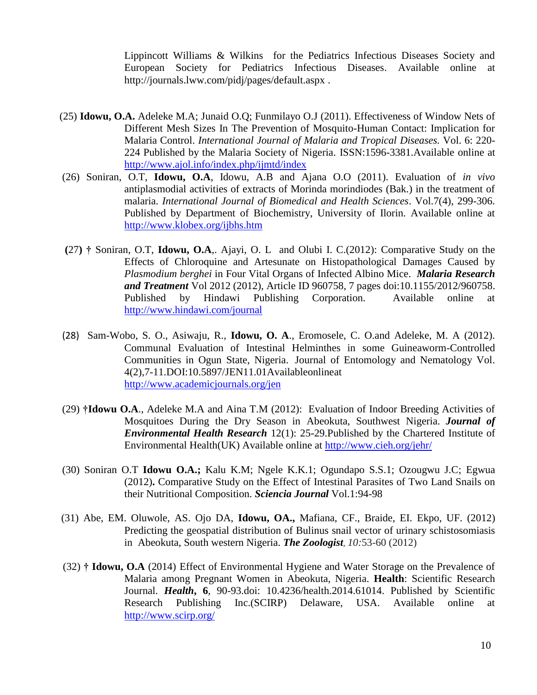Lippincott Williams & Wilkins for the Pediatrics Infectious Diseases Society and European Society for Pediatrics Infectious Diseases. Available online at http://journals.lww.com/pidj/pages/default.aspx .

- (25) **Idowu, O.A.** Adeleke M.A; Junaid O.Q; Funmilayo O.J (2011). Effectiveness of Window Nets of Different Mesh Sizes In The Prevention of Mosquito-Human Contact: Implication for Malaria Control. *International Journal of Malaria and Tropical Diseases.* Vol. 6: 220- 224 Published by the Malaria Society of Nigeria. ISSN:1596-3381.Available online at <http://www.ajol.info/index.php/ijmtd/index>
- (26) Soniran, O.T, **Idowu, O.A**, Idowu, A.B and Ajana O.O (2011). Evaluation of *in vivo* antiplasmodial activities of extracts of Morinda morindiodes (Bak.) in the treatment of malaria. *International Journal of Biomedical and Health Sciences*. Vol.7(4), 299-306. Published by Department of Biochemistry, University of Ilorin. Available online at <http://www.klobex.org/ijbhs.htm>
- **(**27**) †** Soniran, O.T, **Idowu, O.A**,. Ajayi, O. L and Olubi I. C.(2012): Comparative Study on the Effects of Chloroquine and Artesunate on Histopathological Damages Caused by *Plasmodium berghei* in Four Vital Organs of Infected Albino Mice. *Malaria Research and Treatment* Vol 2012 (2012), Article ID 960758, 7 pages doi:10.1155/2012/960758. Published by Hindawi Publishing Corporation. Available online at <http://www.hindawi.com/journal>
- (28)Sam-Wobo, S. O., Asiwaju, R., **Idowu, O. A**., Eromosele, C. O.and Adeleke, M. A (2012). Communal Evaluation of Intestinal Helminthes in some Guineaworm-Controlled Communities in Ogun State, Nigeria. Journal of Entomology and Nematology Vol. 4(2),7-11.DOI:10.5897/JEN11.01Availableonlineat <http://www.academicjournals.org/jen>
- (29) **†Idowu O.A**., Adeleke M.A and Aina T.M (2012): Evaluation of Indoor Breeding Activities of Mosquitoes During the Dry Season in Abeokuta, Southwest Nigeria. *Journal of Environmental Health Research* 12(1): 25-29.Published by the Chartered Institute of Environmental Health(UK) Available online at<http://www.cieh.org/jehr/>
- (30) Soniran O.T **Idowu O.A.;** Kalu K.M; Ngele K.K.1; Ogundapo S.S.1; Ozougwu J.C; Egwua (2012)**.** Comparative Study on the Effect of Intestinal Parasites of Two Land Snails on their Nutritional Composition. *Sciencia Journal* Vol.1:94-98
- (31) Abe, EM. Oluwole, AS. Ojo DA, **Idowu, OA.,** Mafiana, CF., Braide, EI. Ekpo, UF. (2012) Predicting the geospatial distribution of Bulinus snail vector of urinary schistosomiasis in Abeokuta, South western Nigeria. *The Zoologist, 10:*53-60 (2012)
- (32) **† Idowu, O.A** (2014) Effect of Environmental Hygiene and Water Storage on the Prevalence of Malaria among Pregnant Women in Abeokuta, Nigeria. **Health**: Scientific Research Journal. *Health***, 6**, 90-93.doi: 10.4236/health.2014.61014. Published by Scientific Research Publishing Inc.(SCIRP) Delaware, USA. Available online at <http://www.scirp.org/>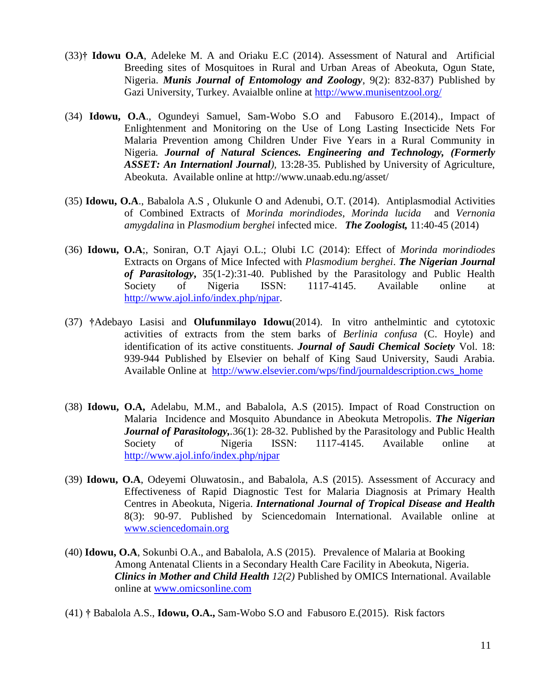- (33)**† Idowu O.A**, Adeleke M. A and Oriaku E.C (2014). Assessment of Natural and Artificial Breeding sites of Mosquitoes in Rural and Urban Areas of Abeokuta, Ogun State, Nigeria. *Munis Journal of Entomology and Zoology*, 9(2): 832-837) Published by Gazi University, Turkey. Avaialble online at<http://www.munisentzool.org/>
- (34) **Idowu, O.A**., Ogundeyi Samuel, Sam-Wobo S.O and Fabusoro E.(2014)., Impact of Enlightenment and Monitoring on the Use of Long Lasting Insecticide Nets For Malaria Prevention among Children Under Five Years in a Rural Community in Nigeria*. Journal of Natural Sciences. Engineering and Technology, (Formerly ASSET: An Internationl Journal),* 13:28-35*.* Published by University of Agriculture, Abeokuta. Available online at http://www.unaab.edu.ng/asset/
- (35) **Idowu, O.A**., Babalola A.S , Olukunle O and Adenubi, O.T. (2014). Antiplasmodial Activities of Combined Extracts of *Morinda morindiodes*, *Morinda lucida* and *Vernonia amygdalina* in *Plasmodium berghei* infected mice. *The Zoologist,* 11:40-45 (2014)
- (36) **Idowu, O.A**;, Soniran, O.T Ajayi O.L.; Olubi I.C (2014): Effect of *Morinda morindiodes*  Extracts on Organs of Mice Infected with *Plasmodium berghei*. *The Nigerian Journal of Parasitology***,** 35(1-2):31-40. Published by the Parasitology and Public Health Society of Nigeria ISSN: 1117-4145. Available online at [http://www.ajol.info/index.php/njpar.](http://www.ajol.info/index.php/njpar)
- (37) **†**Adebayo Lasisi and **Olufunmilayo Idowu**(2014). In vitro anthelmintic and cytotoxic activities of extracts from the stem barks of *Berlinia confusa* (C. Hoyle) and identification of its active constituents. *Journal of Saudi Chemical Society* Vol. 18: 939-944 Published by Elsevier on behalf of King Saud University, Saudi Arabia. Available Online at [http://www.elsevier.com/wps/find/journaldescription.cws\\_home](http://www.elsevier.com/wps/find/journaldescription.cws_home)
- (38) **Idowu, O.A,** Adelabu, M.M., and Babalola, A.S (2015). Impact of Road Construction on Malaria Incidence and Mosquito Abundance in Abeokuta Metropolis. *The Nigerian Journal of Parasitology,.*36(1): 28-32. Published by the Parasitology and Public Health Society of Nigeria ISSN: 1117-4145. Available online at <http://www.ajol.info/index.php/njpar>
- (39) **Idowu, O.A**, Odeyemi Oluwatosin., and Babalola, A.S (2015). Assessment of Accuracy and Effectiveness of Rapid Diagnostic Test for Malaria Diagnosis at Primary Health Centres in Abeokuta, Nigeria. *International Journal of Tropical Disease and Health*  8(3): 90-97. Published by Sciencedomain International. Available online at [www.sciencedomain.org](http://www.sciencedomain.org/)
- (40) **Idowu, O.A**, Sokunbi O.A., and Babalola, A.S (2015). Prevalence of Malaria at Booking Among Antenatal Clients in a Secondary Health Care Facility in Abeokuta, Nigeria. *Clinics in Mother and Child Health 12(2)* Published by OMICS International. Available online at [www.omicsonline.com](http://www.omicsonline.com/)
- (41) **†** Babalola A.S., **Idowu, O.A.,** Sam-Wobo S.O and Fabusoro E.(2015). Risk factors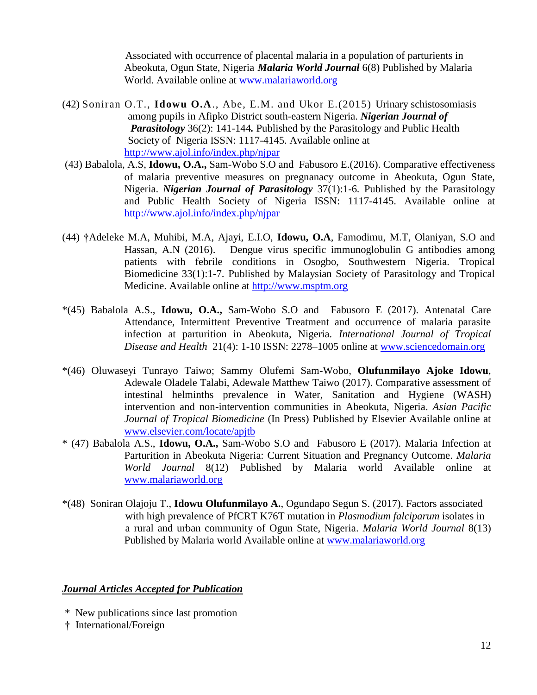Associated with occurrence of placental malaria in a population of parturients in Abeokuta, Ogun State, Nigeria *Malaria World Journal* 6(8) Published by Malaria World. Available online at [www.malariaworld.org](http://www.malariaworld.org/)

- (42) Soniran O.T., **Idowu O.A**., Abe, E.M. and Ukor E.(2015) Urinary schistosomiasis among pupils in Afipko District south-eastern Nigeria. *Nigerian Journal of Parasitology* 36(2): 141-144*.* Published by the Parasitology and Public Health Society of Nigeria ISSN: 1117-4145. Available online at <http://www.ajol.info/index.php/njpar>
- (43) Babalola, A.S, **Idowu, O.A.,** Sam-Wobo S.O and Fabusoro E.(2016). Comparative effectiveness of malaria preventive measures on pregnanacy outcome in Abeokuta, Ogun State, Nigeria. *Nigerian Journal of Parasitology* 37(1):1-6*.* Published by the Parasitology and Public Health Society of Nigeria ISSN: 1117-4145. Available online at <http://www.ajol.info/index.php/njpar>
- (44) **†**Adeleke M.A, Muhibi, M.A, Ajayi, E.I.O, **Idowu, O.A**, Famodimu, M.T, Olaniyan, S.O and Hassan, A.N (2016). Dengue virus specific immunoglobulin G antibodies among patients with febrile conditions in Osogbo, Southwestern Nigeria. Tropical Biomedicine 33(1):1-7. Published by Malaysian Society of Parasitology and Tropical Medicine. Available online at [http://www.msptm.org](http://www.msptm.org/)
- \*(45) Babalola A.S., **Idowu, O.A.,** Sam-Wobo S.O and Fabusoro E (2017). Antenatal Care Attendance, Intermittent Preventive Treatment and occurrence of malaria parasite infection at parturition in Abeokuta, Nigeria. *International Journal of Tropical Disease and Health* 21(4): 1-10 ISSN: 2278–1005 online at [www.sciencedomain.org](http://www.sciencedomain.org/)
- \*(46) Oluwaseyi Tunrayo Taiwo; Sammy Olufemi Sam-Wobo, **Olufunmilayo Ajoke Idowu**, Adewale Oladele Talabi, Adewale Matthew Taiwo (2017). Comparative assessment of intestinal helminths prevalence in Water, Sanitation and Hygiene (WASH) intervention and non-intervention communities in Abeokuta, Nigeria. *Asian Pacific Journal of Tropical Biomedicine* (In Press) Published by Elsevier Available online at [www.elsevier.com/locate/apjtb](http://www.elsevier.com/locate/apjtb)
- \* (47) Babalola A.S., **Idowu, O.A.,** Sam-Wobo S.O and Fabusoro E (2017). Malaria Infection at Parturition in Abeokuta Nigeria: Current Situation and Pregnancy Outcome. *Malaria World Journal* 8(12) Published by Malaria world Available online at [www.malariaworld.org](http://www.malariaworld.org/)
- \*(48) Soniran Olajoju T., **Idowu Olufunmilayo A.**, Ogundapo Segun S. (2017). Factors associated with high prevalence of PfCRT K76T mutation in *Plasmodium falciparum* isolates in a rural and urban community of Ogun State, Nigeria. *Malaria World Journal* 8(13) Published by Malaria world Available online at [www.malariaworld.org](http://www.malariaworld.org/)

#### *Journal Articles Accepted for Publication*

- \*New publications since last promotion
- **†** International/Foreign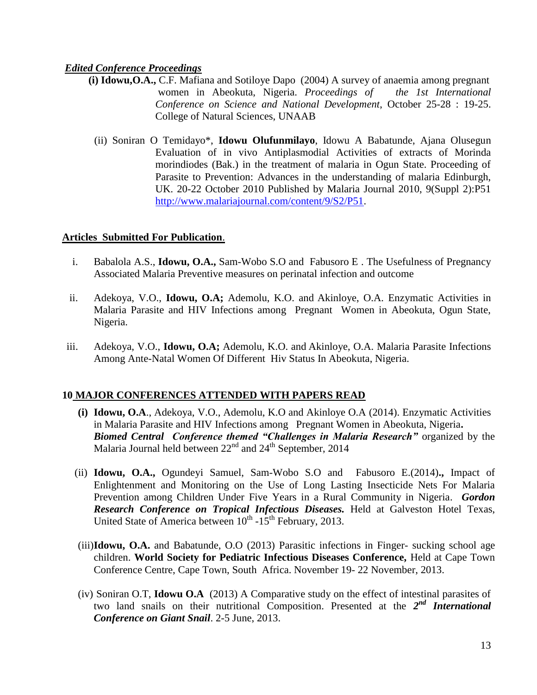# *Edited Conference Proceedings*

- **(i) Idowu,O.A.,** C.F. Mafiana and Sotiloye Dapo (2004) A survey of anaemia among pregnant women in Abeokuta, Nigeria. *Proceedings of the 1st International Conference on Science and National Development*, October 25-28 : 19-25. College of Natural Sciences, UNAAB
	- (ii) Soniran O Temidayo\*, **Idowu Olufunmilayo**, Idowu A Babatunde, Ajana Olusegun Evaluation of in vivo Antiplasmodial Activities of extracts of Morinda morindiodes (Bak.) in the treatment of malaria in Ogun State. Proceeding of Parasite to Prevention: Advances in the understanding of malaria Edinburgh, UK. 20-22 October 2010 Published by Malaria Journal 2010, 9(Suppl 2):P51 [http://www.malariajournal.com/content/9/S2/P51.](http://www.malariajournal.com/content/9/S2/P51)

#### **Articles Submitted For Publication**.

- i. Babalola A.S., **Idowu, O.A.,** Sam-Wobo S.O and Fabusoro E . The Usefulness of Pregnancy Associated Malaria Preventive measures on perinatal infection and outcome
- ii. Adekoya, V.O., **Idowu, O.A;** Ademolu, K.O. and Akinloye, O.A. Enzymatic Activities in Malaria Parasite and HIV Infections among Pregnant Women in Abeokuta, Ogun State, Nigeria.
- iii. Adekoya, V.O., **Idowu, O.A;** Ademolu, K.O. and Akinloye, O.A. Malaria Parasite Infections Among Ante-Natal Women Of Different Hiv Status In Abeokuta, Nigeria.

# **10 MAJOR CONFERENCES ATTENDED WITH PAPERS READ**

- **(i) Idowu, O.A**., Adekoya, V.O., Ademolu, K.O and Akinloye O.A (2014). Enzymatic Activities in Malaria Parasite and HIV Infections among Pregnant Women in Abeokuta, Nigeria**.** *Biomed Central Conference themed "Challenges in Malaria Research"* organized by the Malaria Journal held between  $22<sup>nd</sup>$  and  $24<sup>th</sup>$  September, 2014
- (ii) **Idowu, O.A.,** Ogundeyi Samuel, Sam-Wobo S.O and Fabusoro E.(2014)**.,** Impact of Enlightenment and Monitoring on the Use of Long Lasting Insecticide Nets For Malaria Prevention among Children Under Five Years in a Rural Community in Nigeria. *Gordon Research Conference on Tropical Infectious Diseases.* Held at Galveston Hotel Texas, United State of America between  $10^{th}$  -15<sup>th</sup> February, 2013.
- (iii)**Idowu, O.A.** and Babatunde, O.O (2013) Parasitic infections in Finger- sucking school age children. **World Society for Pediatric Infectious Diseases Conference,** Held at Cape Town Conference Centre, Cape Town, South Africa. November 19- 22 November, 2013.
- (iv) Soniran O.T, **Idowu O.A** (2013) A Comparative study on the effect of intestinal parasites of two land snails on their nutritional Composition. Presented at the 2<sup>nd</sup> International *Conference on Giant Snail*. 2-5 June, 2013.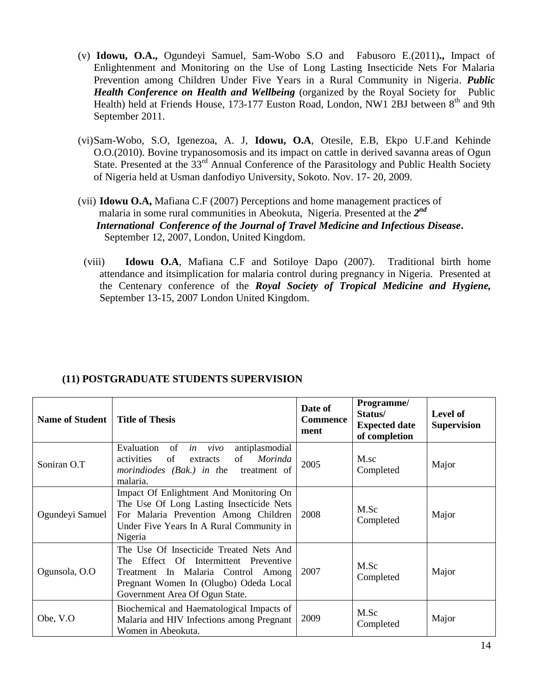- (v) **Idowu, O.A.,** Ogundeyi Samuel, Sam-Wobo S.O and Fabusoro E.(2011)**.,** Impact of Enlightenment and Monitoring on the Use of Long Lasting Insecticide Nets For Malaria Prevention among Children Under Five Years in a Rural Community in Nigeria. *Public Health Conference on Health and Wellbeing* (organized by the Royal Society for Public Health) held at Friends House, 173-177 Euston Road, London, NW1 2BJ between 8<sup>th</sup> and 9th September 2011.
- (vi)Sam-Wobo, S.O, Igenezoa, A. J, **Idowu, O.A**, Otesile, E.B, Ekpo U.F.and Kehinde O.O.(2010). Bovine trypanosomosis and its impact on cattle in derived savanna areas of Ogun State. Presented at the 33<sup>rd</sup> Annual Conference of the Parasitology and Public Health Society of Nigeria held at Usman danfodiyo University, Sokoto. Nov. 17- 20, 2009.
- (vii) **Idowu O.A,** Mafiana C.F (2007) Perceptions and home management practices of malaria in some rural communities in Abeokuta, Nigeria. Presented at the 2<sup>nd</sup>  *International Conference of the Journal of Travel Medicine and Infectious Disease***.** September 12, 2007, London, United Kingdom.
	- (viii) **Idowu O.A**, Mafiana C.F and Sotiloye Dapo (2007). Traditional birth home attendance and itsimplication for malaria control during pregnancy in Nigeria. Presented at the Centenary conference of the *Royal Society of Tropical Medicine and Hygiene,* September 13-15, 2007 London United Kingdom.

| Name of Student | <b>Title of Thesis</b>                                                                                                                                                                                | Date of<br><b>Commence</b><br>ment | Programme/<br>Status/<br><b>Expected date</b><br>of completion | <b>Level of</b><br><b>Supervision</b> |
|-----------------|-------------------------------------------------------------------------------------------------------------------------------------------------------------------------------------------------------|------------------------------------|----------------------------------------------------------------|---------------------------------------|
| Soniran O.T     | Evaluation<br>antiplasmodial<br>of<br>vivo<br>in<br>Morinda<br>of<br>of<br>activities<br>extracts<br>morindiodes (Bak.) in the treatment of<br>malaria.                                               | 2005                               | M.sc<br>Completed                                              | Major                                 |
| Ogundeyi Samuel | Impact Of Enlightment And Monitoring On<br>The Use Of Long Lasting Insecticide Nets<br>For Malaria Prevention Among Children<br>Under Five Years In A Rural Community in<br>Nigeria                   | 2008                               | M.Sc<br>Completed                                              | Major                                 |
| Ogunsola, O.O   | The Use Of Insecticide Treated Nets And<br>Effect Of Intermittent Preventive<br>The<br>Treatment In Malaria Control Among<br>Pregnant Women In (Olugbo) Odeda Local<br>Government Area Of Ogun State. | 2007                               | M.Sc<br>Completed                                              | Major                                 |
| Obe, V.O        | Biochemical and Haematological Impacts of<br>Malaria and HIV Infections among Pregnant<br>Women in Abeokuta.                                                                                          | 2009                               | M.Sc<br>Completed                                              | Major                                 |

# **(11) POSTGRADUATE STUDENTS SUPERVISION**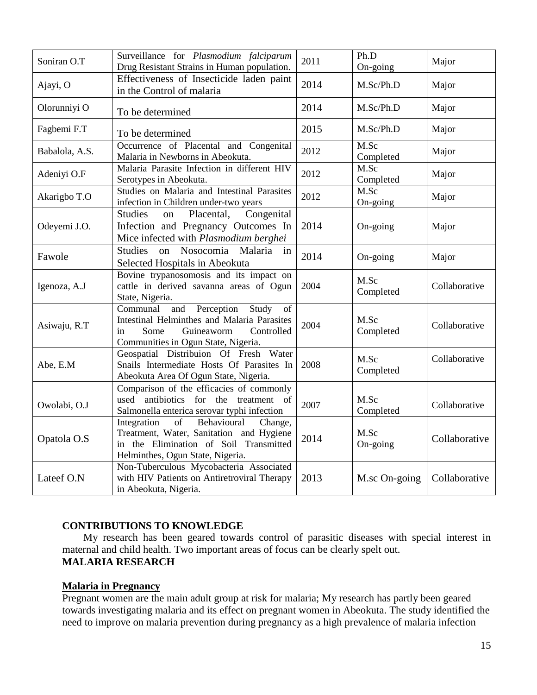| Soniran O.T    | Surveillance for Plasmodium falciparum<br>Drug Resistant Strains in Human population.                                                                                        | 2011 | Ph.D<br>On-going  | Major         |
|----------------|------------------------------------------------------------------------------------------------------------------------------------------------------------------------------|------|-------------------|---------------|
| Ajayi, O       | Effectiveness of Insecticide laden paint<br>in the Control of malaria                                                                                                        | 2014 | M.Sc/Ph.D         | Major         |
| Olorunniyi O   | To be determined                                                                                                                                                             | 2014 | M.Sc/Ph.D         | Major         |
| Fagbemi F.T    | To be determined                                                                                                                                                             | 2015 | M.Sc/Ph.D         | Major         |
| Babalola, A.S. | Occurrence of Placental and Congenital<br>Malaria in Newborns in Abeokuta.                                                                                                   | 2012 | M.Sc<br>Completed | Major         |
| Adeniyi O.F    | Malaria Parasite Infection in different HIV<br>Serotypes in Abeokuta.                                                                                                        | 2012 | M.Sc<br>Completed | Major         |
| Akarigbo T.O   | Studies on Malaria and Intestinal Parasites<br>infection in Children under-two years                                                                                         | 2012 | M.Sc<br>On-going  | Major         |
| Odeyemi J.O.   | Congenital<br><b>Studies</b><br>Placental,<br>on<br>Infection and Pregnancy Outcomes In<br>Mice infected with Plasmodium berghei                                             | 2014 | On-going          | Major         |
| Fawole         | Nosocomia Malaria<br><b>Studies</b><br>on<br>in<br>Selected Hospitals in Abeokuta                                                                                            | 2014 | On-going          | Major         |
| Igenoza, A.J   | Bovine trypanosomosis and its impact on<br>cattle in derived savanna areas of Ogun<br>State, Nigeria.                                                                        | 2004 | M.Sc<br>Completed | Collaborative |
| Asiwaju, R.T   | Perception<br>and<br>Study<br>Communal<br>of<br>Intestinal Helminthes and Malaria Parasites<br>Some<br>Controlled<br>Guineaworm<br>in<br>Communities in Ogun State, Nigeria. | 2004 | M.Sc<br>Completed | Collaborative |
| Abe, E.M       | Geospatial Distribuion Of Fresh Water<br>Snails Intermediate Hosts Of Parasites In<br>Abeokuta Area Of Ogun State, Nigeria.                                                  | 2008 | M.Sc<br>Completed | Collaborative |
| Owolabi, O.J   | Comparison of the efficacies of commonly<br>used antibiotics for the treatment of<br>Salmonella enterica serovar typhi infection                                             | 2007 | M.Sc<br>Completed | Collaborative |
| Opatola O.S    | Integration<br>Behavioural<br>of<br>Change,<br>Treatment, Water, Sanitation and Hygiene<br>in the Elimination of Soil Transmitted<br>Helminthes, Ogun State, Nigeria.        | 2014 | M.Sc<br>On-going  | Collaborative |
| Lateef O.N     | Non-Tuberculous Mycobacteria Associated<br>with HIV Patients on Antiretroviral Therapy<br>in Abeokuta, Nigeria.                                                              | 2013 | M.sc On-going     | Collaborative |

# **CONTRIBUTIONS TO KNOWLEDGE**

 My research has been geared towards control of parasitic diseases with special interest in maternal and child health. Two important areas of focus can be clearly spelt out. **MALARIA RESEARCH**

#### **Malaria in Pregnancy**

Pregnant women are the main adult group at risk for malaria; My research has partly been geared towards investigating malaria and its effect on pregnant women in Abeokuta. The study identified the need to improve on malaria prevention during pregnancy as a high prevalence of malaria infection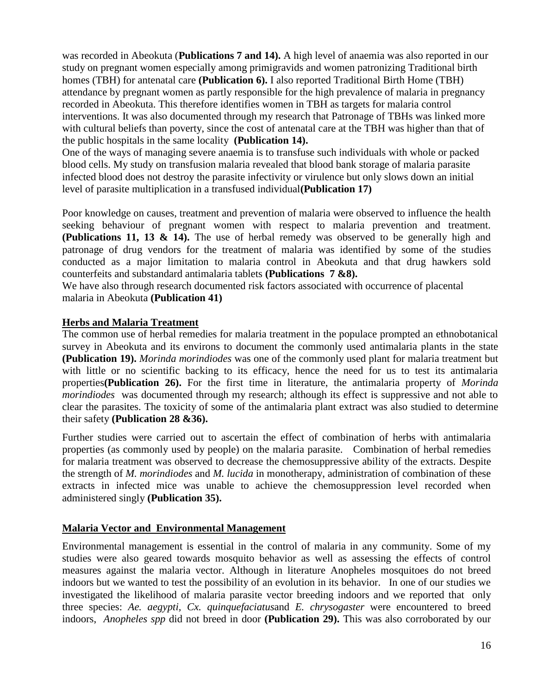was recorded in Abeokuta (**Publications 7 and 14).** A high level of anaemia was also reported in our study on pregnant women especially among primigravids and women patronizing Traditional birth homes (TBH) for antenatal care **(Publication 6).** I also reported Traditional Birth Home (TBH) attendance by pregnant women as partly responsible for the high prevalence of malaria in pregnancy recorded in Abeokuta. This therefore identifies women in TBH as targets for malaria control interventions. It was also documented through my research that Patronage of TBHs was linked more with cultural beliefs than poverty, since the cost of antenatal care at the TBH was higher than that of the public hospitals in the same locality **(Publication 14).**

One of the ways of managing severe anaemia is to transfuse such individuals with whole or packed blood cells. My study on transfusion malaria revealed that blood bank storage of malaria parasite infected blood does not destroy the parasite infectivity or virulence but only slows down an initial level of parasite multiplication in a transfused individual**(Publication 17)**

Poor knowledge on causes, treatment and prevention of malaria were observed to influence the health seeking behaviour of pregnant women with respect to malaria prevention and treatment. **(Publications 11, 13 & 14).** The use of herbal remedy was observed to be generally high and patronage of drug vendors for the treatment of malaria was identified by some of the studies conducted as a major limitation to malaria control in Abeokuta and that drug hawkers sold counterfeits and substandard antimalaria tablets **(Publications 7 &8).** 

We have also through research documented risk factors associated with occurrence of placental malaria in Abeokuta **(Publication 41)**

#### **Herbs and Malaria Treatment**

The common use of herbal remedies for malaria treatment in the populace prompted an ethnobotanical survey in Abeokuta and its environs to document the commonly used antimalaria plants in the state **(Publication 19).** *Morinda morindiodes* was one of the commonly used plant for malaria treatment but with little or no scientific backing to its efficacy, hence the need for us to test its antimalaria properties**(Publication 26).** For the first time in literature, the antimalaria property of *Morinda morindiodes* was documented through my research; although its effect is suppressive and not able to clear the parasites. The toxicity of some of the antimalaria plant extract was also studied to determine their safety **(Publication 28 &36).**

Further studies were carried out to ascertain the effect of combination of herbs with antimalaria properties (as commonly used by people) on the malaria parasite. Combination of herbal remedies for malaria treatment was observed to decrease the chemosuppressive ability of the extracts. Despite the strength of *M. morindiodes* and *M. lucida* in monotherapy, administration of combination of these extracts in infected mice was unable to achieve the chemosuppression level recorded when administered singly **(Publication 35).**

# **Malaria Vector and Environmental Management**

Environmental management is essential in the control of malaria in any community. Some of my studies were also geared towards mosquito behavior as well as assessing the effects of control measures against the malaria vector. Although in literature Anopheles mosquitoes do not breed indoors but we wanted to test the possibility of an evolution in its behavior. In one of our studies we investigated the likelihood of malaria parasite vector breeding indoors and we reported that only three species: *Ae. aegypti, Cx. quinquefaciatus*and *E. chrysogaster* were encountered to breed indoors, *Anopheles spp* did not breed in door **(Publication 29).** This was also corroborated by our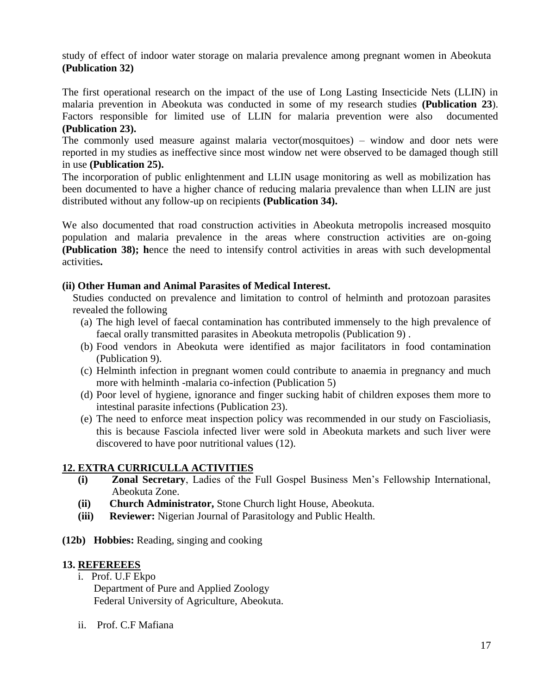study of effect of indoor water storage on malaria prevalence among pregnant women in Abeokuta **(Publication 32)**

The first operational research on the impact of the use of Long Lasting Insecticide Nets (LLIN) in malaria prevention in Abeokuta was conducted in some of my research studies **(Publication 23**). Factors responsible for limited use of LLIN for malaria prevention were also documented **(Publication 23).**

The commonly used measure against malaria vector(mosquitoes) – window and door nets were reported in my studies as ineffective since most window net were observed to be damaged though still in use **(Publication 25).**

The incorporation of public enlightenment and LLIN usage monitoring as well as mobilization has been documented to have a higher chance of reducing malaria prevalence than when LLIN are just distributed without any follow-up on recipients **(Publication 34).**

We also documented that road construction activities in Abeokuta metropolis increased mosquito population and malaria prevalence in the areas where construction activities are on-going **(Publication 38); h**ence the need to intensify control activities in areas with such developmental activities**.**

# **(ii) Other Human and Animal Parasites of Medical Interest.**

Studies conducted on prevalence and limitation to control of helminth and protozoan parasites revealed the following

- (a) The high level of faecal contamination has contributed immensely to the high prevalence of faecal orally transmitted parasites in Abeokuta metropolis (Publication 9) .
- (b) Food vendors in Abeokuta were identified as major facilitators in food contamination (Publication 9).
- (c) Helminth infection in pregnant women could contribute to anaemia in pregnancy and much more with helminth -malaria co-infection (Publication 5)
- (d) Poor level of hygiene, ignorance and finger sucking habit of children exposes them more to intestinal parasite infections (Publication 23).
- (e) The need to enforce meat inspection policy was recommended in our study on Fascioliasis, this is because Fasciola infected liver were sold in Abeokuta markets and such liver were discovered to have poor nutritional values (12).

# **12. EXTRA CURRICULLA ACTIVITIES**

- **(i) Zonal Secretary**, Ladies of the Full Gospel Business Men"s Fellowship International, Abeokuta Zone.
- **(ii) Church Administrator,** Stone Church light House, Abeokuta.
- **(iii) Reviewer:** Nigerian Journal of Parasitology and Public Health.
- **(12b) Hobbies:** Reading, singing and cooking

# **13. REFEREEES**

- i. Prof. U.F Ekpo Department of Pure and Applied Zoology Federal University of Agriculture, Abeokuta.
- ii. Prof. C.F Mafiana